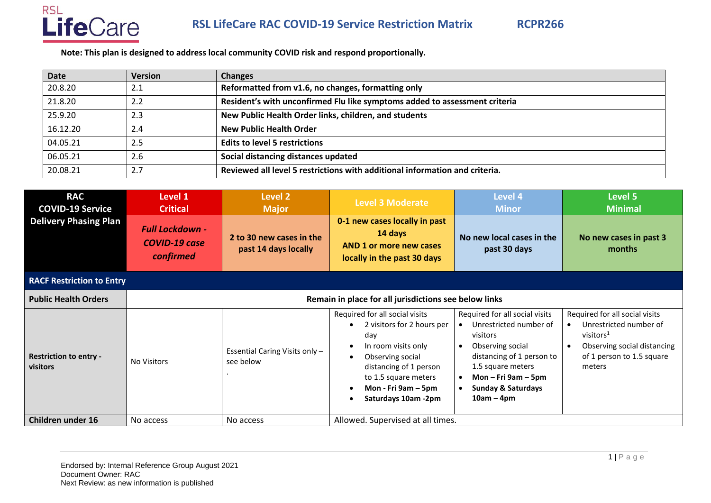

**Note: This plan is designed to address local community COVID risk and respond proportionally.**

| Date     | <b>Version</b> | <b>Changes</b>                                                              |
|----------|----------------|-----------------------------------------------------------------------------|
| 20.8.20  | 2.1            | Reformatted from v1.6, no changes, formatting only                          |
| 21.8.20  | 2.2            | Resident's with unconfirmed Flu like symptoms added to assessment criteria  |
| 25.9.20  | 2.3            | New Public Health Order links, children, and students                       |
| 16.12.20 | 2.4            | <b>New Public Health Order</b>                                              |
| 04.05.21 | 2.5            | <b>Edits to level 5 restrictions</b>                                        |
| 06.05.21 | 2.6            | Social distancing distances updated                                         |
| 20.08.21 | 2.7            | Reviewed all level 5 restrictions with additional information and criteria. |

| <b>RAC</b><br><b>COVID-19 Service</b>     | Level 1<br><b>Critical</b>                                  | Level 2<br><b>Major</b>                          | <b>Level 3 Moderate</b>                                                                                                                                                                                        | Level 4<br><b>Minor</b>                                                                                                                                                                                                     | Level 5<br><b>Minimal</b>                                                                                                                      |  |
|-------------------------------------------|-------------------------------------------------------------|--------------------------------------------------|----------------------------------------------------------------------------------------------------------------------------------------------------------------------------------------------------------------|-----------------------------------------------------------------------------------------------------------------------------------------------------------------------------------------------------------------------------|------------------------------------------------------------------------------------------------------------------------------------------------|--|
| <b>Delivery Phasing Plan</b>              | <b>Full Lockdown -</b><br><b>COVID-19 case</b><br>confirmed | 2 to 30 new cases in the<br>past 14 days locally | 0-1 new cases locally in past<br>14 days<br>AND 1 or more new cases<br>locally in the past 30 days                                                                                                             | No new local cases in the<br>past 30 days                                                                                                                                                                                   | No new cases in past 3<br>months                                                                                                               |  |
| <b>RACF Restriction to Entry</b>          |                                                             |                                                  |                                                                                                                                                                                                                |                                                                                                                                                                                                                             |                                                                                                                                                |  |
| <b>Public Health Orders</b>               | Remain in place for all jurisdictions see below links       |                                                  |                                                                                                                                                                                                                |                                                                                                                                                                                                                             |                                                                                                                                                |  |
| <b>Restriction to entry -</b><br>visitors | <b>No Visitors</b>                                          | Essential Caring Visits only -<br>see below      | Required for all social visits<br>2 visitors for 2 hours per<br>day<br>In room visits only<br>Observing social<br>distancing of 1 person<br>to 1.5 square meters<br>Mon - Fri 9am – 5pm<br>Saturdays 10am -2pm | Required for all social visits<br>Unrestricted number of<br>visitors<br>Observing social<br>$\bullet$<br>distancing of 1 person to<br>1.5 square meters<br>Mon-Fri 9am-5pm<br><b>Sunday &amp; Saturdays</b><br>$10am - 4pm$ | Required for all social visits<br>Unrestricted number of<br>visitors $1$<br>Observing social distancing<br>of 1 person to 1.5 square<br>meters |  |
| <b>Children under 16</b>                  | No access                                                   | No access                                        | Allowed. Supervised at all times.                                                                                                                                                                              |                                                                                                                                                                                                                             |                                                                                                                                                |  |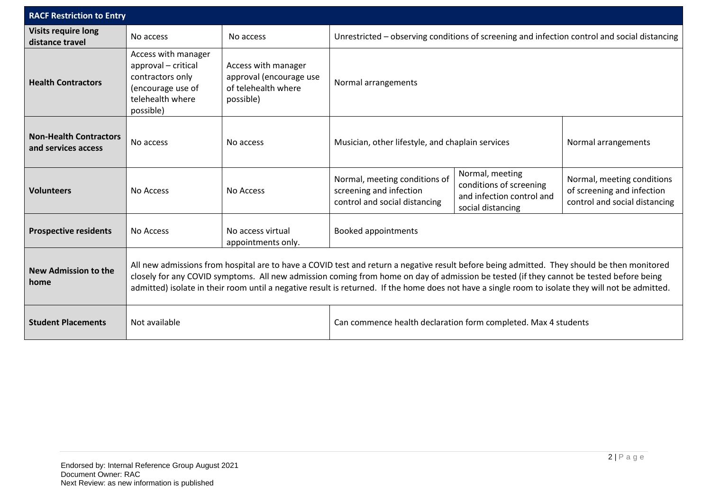| <b>RACF Restriction to Entry</b>                     |                                                                                                                                                                                                                                                                                                                                                                                                                                              |                                                                                    |                                                                                              |                                                                                              |                                                                                           |
|------------------------------------------------------|----------------------------------------------------------------------------------------------------------------------------------------------------------------------------------------------------------------------------------------------------------------------------------------------------------------------------------------------------------------------------------------------------------------------------------------------|------------------------------------------------------------------------------------|----------------------------------------------------------------------------------------------|----------------------------------------------------------------------------------------------|-------------------------------------------------------------------------------------------|
| <b>Visits require long</b><br>distance travel        | No access                                                                                                                                                                                                                                                                                                                                                                                                                                    | No access                                                                          | Unrestricted - observing conditions of screening and infection control and social distancing |                                                                                              |                                                                                           |
| <b>Health Contractors</b>                            | Access with manager<br>approval - critical<br>contractors only<br>(encourage use of<br>telehealth where<br>possible)                                                                                                                                                                                                                                                                                                                         | Access with manager<br>approval (encourage use<br>of telehealth where<br>possible) | Normal arrangements                                                                          |                                                                                              |                                                                                           |
| <b>Non-Health Contractors</b><br>and services access | No access                                                                                                                                                                                                                                                                                                                                                                                                                                    | No access                                                                          | Musician, other lifestyle, and chaplain services                                             |                                                                                              | Normal arrangements                                                                       |
| <b>Volunteers</b>                                    | No Access                                                                                                                                                                                                                                                                                                                                                                                                                                    | No Access                                                                          | Normal, meeting conditions of<br>screening and infection<br>control and social distancing    | Normal, meeting<br>conditions of screening<br>and infection control and<br>social distancing | Normal, meeting conditions<br>of screening and infection<br>control and social distancing |
| <b>Prospective residents</b>                         | No Access                                                                                                                                                                                                                                                                                                                                                                                                                                    | No access virtual<br>appointments only.                                            | <b>Booked appointments</b>                                                                   |                                                                                              |                                                                                           |
| <b>New Admission to the</b><br>home                  | All new admissions from hospital are to have a COVID test and return a negative result before being admitted. They should be then monitored<br>closely for any COVID symptoms. All new admission coming from home on day of admission be tested (if they cannot be tested before being<br>admitted) isolate in their room until a negative result is returned. If the home does not have a single room to isolate they will not be admitted. |                                                                                    |                                                                                              |                                                                                              |                                                                                           |
| <b>Student Placements</b>                            | Not available                                                                                                                                                                                                                                                                                                                                                                                                                                |                                                                                    | Can commence health declaration form completed. Max 4 students                               |                                                                                              |                                                                                           |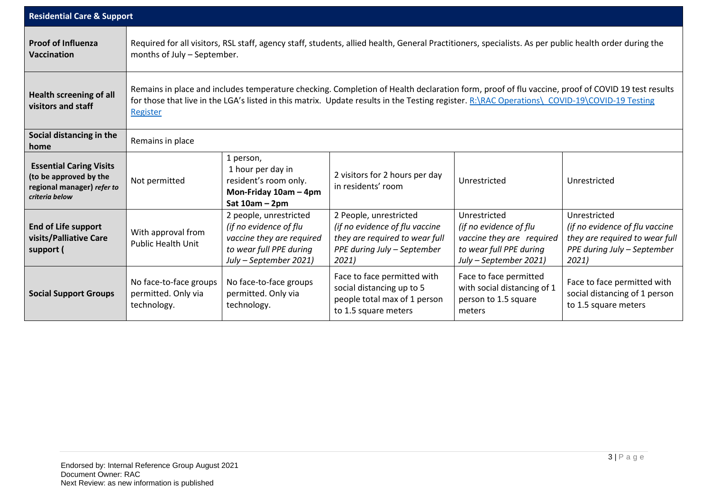| <b>Residential Care &amp; Support</b>                                                                    |                                                                                                                                                                                                                                                                                                              |                                                                                                                                    |                                                                                                                                    |                                                                                                                          |                                                                                                                          |
|----------------------------------------------------------------------------------------------------------|--------------------------------------------------------------------------------------------------------------------------------------------------------------------------------------------------------------------------------------------------------------------------------------------------------------|------------------------------------------------------------------------------------------------------------------------------------|------------------------------------------------------------------------------------------------------------------------------------|--------------------------------------------------------------------------------------------------------------------------|--------------------------------------------------------------------------------------------------------------------------|
| <b>Proof of Influenza</b><br><b>Vaccination</b>                                                          | Required for all visitors, RSL staff, agency staff, students, allied health, General Practitioners, specialists. As per public health order during the<br>months of July - September.                                                                                                                        |                                                                                                                                    |                                                                                                                                    |                                                                                                                          |                                                                                                                          |
| <b>Health screening of all</b><br>visitors and staff                                                     | Remains in place and includes temperature checking. Completion of Health declaration form, proof of flu vaccine, proof of COVID 19 test results<br>for those that live in the LGA's listed in this matrix. Update results in the Testing register. R: \RAC Operations\ COVID-19\COVID-19 Testing<br>Register |                                                                                                                                    |                                                                                                                                    |                                                                                                                          |                                                                                                                          |
| Social distancing in the<br>home                                                                         | Remains in place                                                                                                                                                                                                                                                                                             |                                                                                                                                    |                                                                                                                                    |                                                                                                                          |                                                                                                                          |
| <b>Essential Caring Visits</b><br>(to be approved by the<br>regional manager) refer to<br>criteria below | Not permitted                                                                                                                                                                                                                                                                                                | 1 person,<br>1 hour per day in<br>resident's room only.<br>Mon-Friday 10am - 4pm<br>Sat $10am - 2pm$                               | 2 visitors for 2 hours per day<br>in residents' room                                                                               | Unrestricted                                                                                                             | Unrestricted                                                                                                             |
| <b>End of Life support</b><br>visits/Palliative Care<br>support (                                        | With approval from<br><b>Public Health Unit</b>                                                                                                                                                                                                                                                              | 2 people, unrestricted<br>(if no evidence of flu<br>vaccine they are required<br>to wear full PPE during<br>July - September 2021) | 2 People, unrestricted<br>(if no evidence of flu vaccine<br>they are required to wear full<br>PPE during July - September<br>2021) | Unrestricted<br>(if no evidence of flu<br>vaccine they are required<br>to wear full PPE during<br>July - September 2021) | Unrestricted<br>(if no evidence of flu vaccine<br>they are required to wear full<br>PPE during July - September<br>2021) |
| <b>Social Support Groups</b>                                                                             | No face-to-face groups<br>permitted. Only via<br>technology.                                                                                                                                                                                                                                                 | No face-to-face groups<br>permitted. Only via<br>technology.                                                                       | Face to face permitted with<br>social distancing up to 5<br>people total max of 1 person<br>to 1.5 square meters                   | Face to face permitted<br>with social distancing of 1<br>person to 1.5 square<br>meters                                  | Face to face permitted with<br>social distancing of 1 person<br>to 1.5 square meters                                     |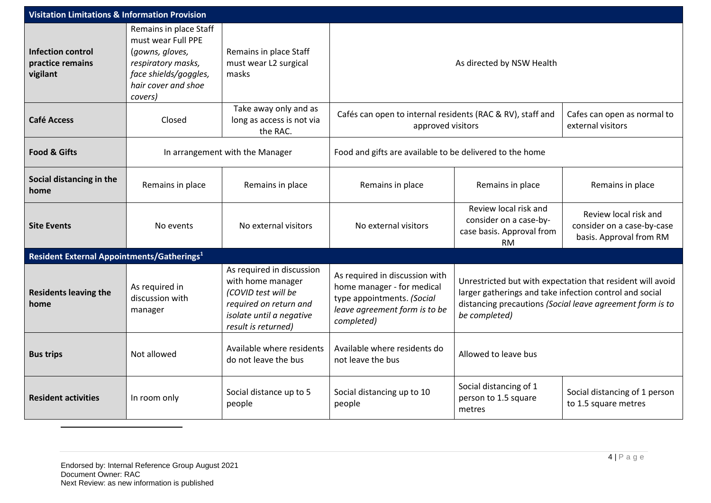| <b>Visitation Limitations &amp; Information Provision</b> |                                                                                                                                                  |                                                                                                                                                    |                                                                                                                                           |                                                                                                                                                                                                     |                                                                                |  |
|-----------------------------------------------------------|--------------------------------------------------------------------------------------------------------------------------------------------------|----------------------------------------------------------------------------------------------------------------------------------------------------|-------------------------------------------------------------------------------------------------------------------------------------------|-----------------------------------------------------------------------------------------------------------------------------------------------------------------------------------------------------|--------------------------------------------------------------------------------|--|
| <b>Infection control</b><br>practice remains<br>vigilant  | Remains in place Staff<br>must wear Full PPE<br>(gowns, gloves,<br>respiratory masks,<br>face shields/goggles,<br>hair cover and shoe<br>covers) | Remains in place Staff<br>must wear L2 surgical<br>masks                                                                                           | As directed by NSW Health                                                                                                                 |                                                                                                                                                                                                     |                                                                                |  |
| <b>Café Access</b>                                        | Closed                                                                                                                                           | Take away only and as<br>long as access is not via<br>the RAC.                                                                                     | Cafés can open to internal residents (RAC & RV), staff and<br>approved visitors<br>external visitors                                      |                                                                                                                                                                                                     | Cafes can open as normal to                                                    |  |
| <b>Food &amp; Gifts</b>                                   | In arrangement with the Manager                                                                                                                  |                                                                                                                                                    | Food and gifts are available to be delivered to the home                                                                                  |                                                                                                                                                                                                     |                                                                                |  |
| Social distancing in the<br>home                          | Remains in place                                                                                                                                 | Remains in place                                                                                                                                   | Remains in place                                                                                                                          | Remains in place                                                                                                                                                                                    | Remains in place                                                               |  |
| <b>Site Events</b>                                        | No events                                                                                                                                        | No external visitors                                                                                                                               | No external visitors                                                                                                                      | Review local risk and<br>consider on a case-by-<br>case basis. Approval from<br>RM.                                                                                                                 | Review local risk and<br>consider on a case-by-case<br>basis. Approval from RM |  |
| Resident External Appointments/Gatherings <sup>1</sup>    |                                                                                                                                                  |                                                                                                                                                    |                                                                                                                                           |                                                                                                                                                                                                     |                                                                                |  |
| <b>Residents leaving the</b><br>home                      | As required in<br>discussion with<br>manager                                                                                                     | As required in discussion<br>with home manager<br>(COVID test will be<br>required on return and<br>isolate until a negative<br>result is returned) | As required in discussion with<br>home manager - for medical<br>type appointments. (Social<br>leave agreement form is to be<br>completed) | Unrestricted but with expectation that resident will avoid<br>larger gatherings and take infection control and social<br>distancing precautions (Social leave agreement form is to<br>be completed) |                                                                                |  |
| <b>Bus trips</b>                                          | Not allowed                                                                                                                                      | Available where residents<br>do not leave the bus                                                                                                  | Available where residents do<br>not leave the bus                                                                                         | Allowed to leave bus                                                                                                                                                                                |                                                                                |  |
| <b>Resident activities</b>                                | In room only                                                                                                                                     | Social distance up to 5<br>people                                                                                                                  | Social distancing up to 10<br>people                                                                                                      | Social distancing of 1<br>person to 1.5 square<br>metres                                                                                                                                            | Social distancing of 1 person<br>to 1.5 square metres                          |  |